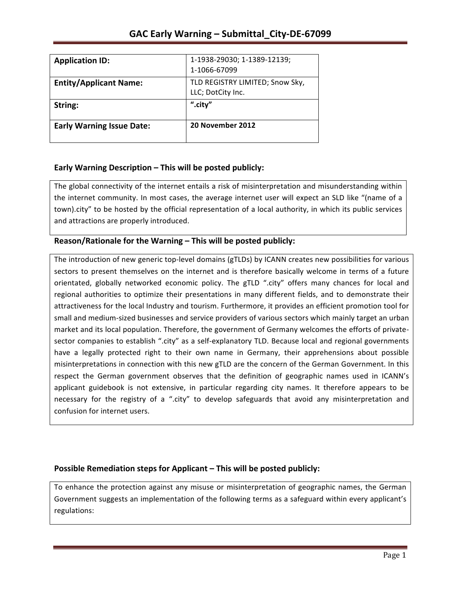| <b>Application ID:</b>           | 1-1938-29030; 1-1389-12139;                          |
|----------------------------------|------------------------------------------------------|
|                                  | 1-1066-67099                                         |
| <b>Entity/Applicant Name:</b>    | TLD REGISTRY LIMITED; Snow Sky,<br>LLC; DotCity Inc. |
| String:                          | ".city"                                              |
| <b>Early Warning Issue Date:</b> | 20 November 2012                                     |

## **Early Warning Description – This will be posted publicly:**

The global connectivity of the internet entails a risk of misinterpretation and misunderstanding within the internet community. In most cases, the average internet user will expect an SLD like "(name of a town).city" to be hosted by the official representation of a local authority, in which its public services and attractions are properly introduced.

## **Reason/Rationale for the Warning – This will be posted publicly:**

The introduction of new generic top-level domains (gTLDs) by ICANN creates new possibilities for various sectors to present themselves on the internet and is therefore basically welcome in terms of a future orientated, globally networked economic policy. The gTLD ".city" offers many chances for local and regional authorities to optimize their presentations in many different fields, and to demonstrate their attractiveness for the local Industry and tourism. Furthermore, it provides an efficient promotion tool for small and medium-sized businesses and service providers of various sectors which mainly target an urban market and its local population. Therefore, the government of Germany welcomes the efforts of privatesector companies to establish ".city" as a self-explanatory TLD. Because local and regional governments have a legally protected right to their own name in Germany, their apprehensions about possible misinterpretations in connection with this new gTLD are the concern of the German Government. In this respect the German government observes that the definition of geographic names used in ICANN's applicant guidebook is not extensive, in particular regarding city names. It therefore appears to be necessary for the registry of a ".city" to develop safeguards that avoid any misinterpretation and confusion for internet users.

## **Possible Remediation steps for Applicant – This will be posted publicly:**

To enhance the protection against any misuse or misinterpretation of geographic names, the German Government suggests an implementation of the following terms as a safeguard within every applicant's regulations: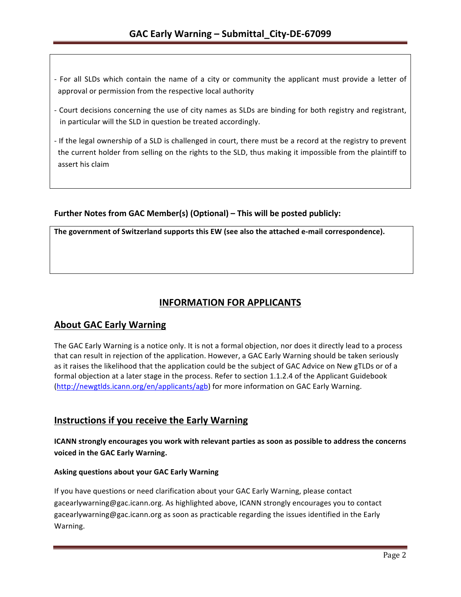- For all SLDs which contain the name of a city or community the applicant must provide a letter of approval or permission from the respective local authority
- Court decisions concerning the use of city names as SLDs are binding for both registry and registrant, in particular will the SLD in question be treated accordingly.
- If the legal ownership of a SLD is challenged in court, there must be a record at the registry to prevent the current holder from selling on the rights to the SLD, thus making it impossible from the plaintiff to assert his claim

### Further Notes from GAC Member(s) (Optional) – This will be posted publicly:

The government of Switzerland supports this EW (see also the attached e-mail correspondence).

# **INFORMATION FOR APPLICANTS**

## **About GAC Early Warning**

The GAC Early Warning is a notice only. It is not a formal objection, nor does it directly lead to a process that can result in rejection of the application. However, a GAC Early Warning should be taken seriously as it raises the likelihood that the application could be the subject of GAC Advice on New gTLDs or of a formal objection at a later stage in the process. Refer to section 1.1.2.4 of the Applicant Guidebook (http://newgtlds.icann.org/en/applicants/agb) for more information on GAC Early Warning.

## **Instructions if you receive the Early Warning**

**ICANN** strongly encourages you work with relevant parties as soon as possible to address the concerns voiced in the GAC Early Warning.

### **Asking questions about your GAC Early Warning**

If you have questions or need clarification about your GAC Early Warning, please contact gacearlywarning@gac.icann.org. As highlighted above, ICANN strongly encourages you to contact gacearlywarning@gac.icann.org as soon as practicable regarding the issues identified in the Early Warning.